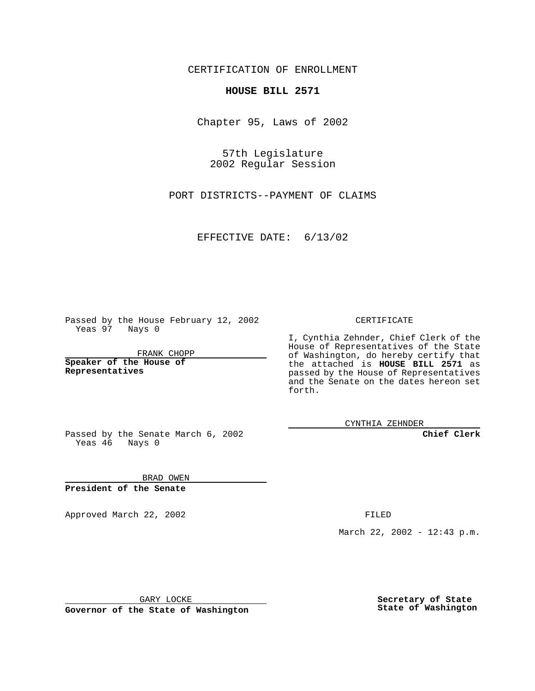CERTIFICATION OF ENROLLMENT

## **HOUSE BILL 2571**

Chapter 95, Laws of 2002

57th Legislature 2002 Regular Session

PORT DISTRICTS--PAYMENT OF CLAIMS

EFFECTIVE DATE: 6/13/02

Passed by the House February 12, 2002 Yeas 97 Nays 0

FRANK CHOPP

**Speaker of the House of Representatives**

CERTIFICATE

I, Cynthia Zehnder, Chief Clerk of the House of Representatives of the State of Washington, do hereby certify that the attached is **HOUSE BILL 2571** as passed by the House of Representatives and the Senate on the dates hereon set forth.

CYNTHIA ZEHNDER

**Chief Clerk**

Passed by the Senate March 6, 2002 Yeas 46 Nays 0

BRAD OWEN **President of the Senate**

Approved March 22, 2002 **FILED** 

March 22, 2002 - 12:43 p.m.

GARY LOCKE

**Governor of the State of Washington**

**Secretary of State State of Washington**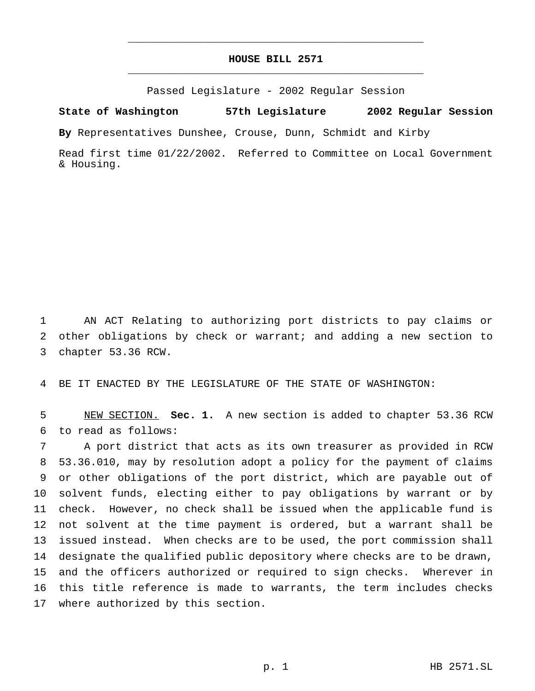## **HOUSE BILL 2571** \_\_\_\_\_\_\_\_\_\_\_\_\_\_\_\_\_\_\_\_\_\_\_\_\_\_\_\_\_\_\_\_\_\_\_\_\_\_\_\_\_\_\_\_\_\_\_

\_\_\_\_\_\_\_\_\_\_\_\_\_\_\_\_\_\_\_\_\_\_\_\_\_\_\_\_\_\_\_\_\_\_\_\_\_\_\_\_\_\_\_\_\_\_\_

Passed Legislature - 2002 Regular Session

**State of Washington 57th Legislature 2002 Regular Session**

**By** Representatives Dunshee, Crouse, Dunn, Schmidt and Kirby

Read first time 01/22/2002. Referred to Committee on Local Government & Housing.

 AN ACT Relating to authorizing port districts to pay claims or other obligations by check or warrant; and adding a new section to chapter 53.36 RCW.

BE IT ENACTED BY THE LEGISLATURE OF THE STATE OF WASHINGTON:

 NEW SECTION. **Sec. 1.** A new section is added to chapter 53.36 RCW to read as follows:

 A port district that acts as its own treasurer as provided in RCW 53.36.010, may by resolution adopt a policy for the payment of claims or other obligations of the port district, which are payable out of solvent funds, electing either to pay obligations by warrant or by check. However, no check shall be issued when the applicable fund is not solvent at the time payment is ordered, but a warrant shall be issued instead. When checks are to be used, the port commission shall designate the qualified public depository where checks are to be drawn, and the officers authorized or required to sign checks. Wherever in this title reference is made to warrants, the term includes checks where authorized by this section.